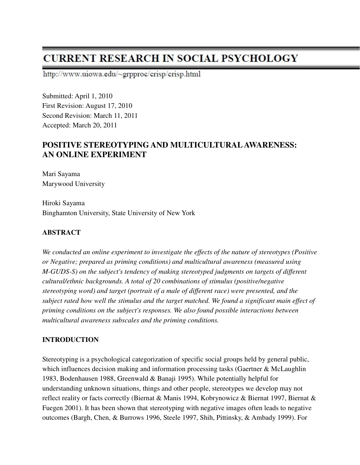# **CURRENT RESEARCH IN SOCIAL PSYCHOLOGY**

http://www.uiowa.edu/~grpproc/crisp/crisp.html

Submitted: April 1, 2010 First Revision: August 17, 2010 Second Revision: March 11, 2011 Accepted: March 20, 2011

# **POSITIVE STEREOTYPING AND MULTICULTURAL AWARENESS: AN ONLINE EXPERIMENT**

Mari Sayama Marywood University

Hiroki Sayama Binghamton University, State University of New York

# **ABSTRACT**

*We conducted an online experiment to investigate the effects of the nature of stereotypes (Positive or Negative; prepared as priming conditions) and multicultural awareness (measured using M-GUDS-S) on the subject's tendency of making stereotyped judgments on targets of different cultural/ethnic backgrounds. A total of 20 combinations of stimulus (positive/negative stereotyping word) and target (portrait of a male of different race) were presented, and the subject rated how well the stimulus and the target matched. We found a significant main effect of priming conditions on the subject's responses. We also found possible interactions between multicultural awareness subscales and the priming conditions.*

# **INTRODUCTION**

Stereotyping is a psychological categorization of specific social groups held by general public, which influences decision making and information processing tasks (Gaertner & McLaughlin 1983, Bodenhausen 1988, Greenwald & Banaji 1995). While potentially helpful for understanding unknown situations, things and other people, stereotypes we develop may not reflect reality or facts correctly (Biernat & Manis 1994, Kobrynowicz & Biernat 1997, Biernat & Fuegen 2001). It has been shown that stereotyping with negative images often leads to negative outcomes (Bargh, Chen, & Burrows 1996, Steele 1997, Shih, Pittinsky, & Ambady 1999). For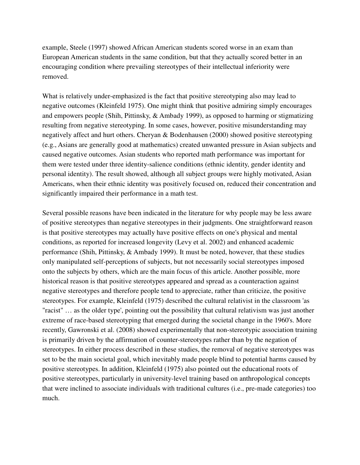example, Steele (1997) showed African American students scored worse in an exam than European American students in the same condition, but that they actually scored better in an encouraging condition where prevailing stereotypes of their intellectual inferiority were removed.

What is relatively under-emphasized is the fact that positive stereotyping also may lead to negative outcomes (Kleinfeld 1975). One might think that positive admiring simply encourages and empowers people (Shih, Pittinsky, & Ambady 1999), as opposed to harming or stigmatizing resulting from negative stereotyping. In some cases, however, positive misunderstanding may negatively affect and hurt others. Cheryan & Bodenhausen (2000) showed positive stereotyping (e.g., Asians are generally good at mathematics) created unwanted pressure in Asian subjects and caused negative outcomes. Asian students who reported math performance was important for them were tested under three identity-salience conditions (ethnic identity, gender identity and personal identity). The result showed, although all subject groups were highly motivated, Asian Americans, when their ethnic identity was positively focused on, reduced their concentration and significantly impaired their performance in a math test.

Several possible reasons have been indicated in the literature for why people may be less aware of positive stereotypes than negative stereotypes in their judgments. One straightforward reason is that positive stereotypes may actually have positive effects on one's physical and mental conditions, as reported for increased longevity (Levy et al. 2002) and enhanced academic performance (Shih, Pittinsky, & Ambady 1999). It must be noted, however, that these studies only manipulated self-perceptions of subjects, but not necessarily social stereotypes imposed onto the subjects by others, which are the main focus of this article. Another possible, more historical reason is that positive stereotypes appeared and spread as a counteraction against negative stereotypes and therefore people tend to appreciate, rather than criticize, the positive stereotypes. For example, Kleinfeld (1975) described the cultural relativist in the classroom 'as "racist" … as the older type', pointing out the possibility that cultural relativism was just another extreme of race-based stereotyping that emerged during the societal change in the 1960's. More recently, Gawronski et al. (2008) showed experimentally that non-stereotypic association training is primarily driven by the affirmation of counter-stereotypes rather than by the negation of stereotypes. In either process described in these studies, the removal of negative stereotypes was set to be the main societal goal, which inevitably made people blind to potential harms caused by positive stereotypes. In addition, Kleinfeld (1975) also pointed out the educational roots of positive stereotypes, particularly in university-level training based on anthropological concepts that were inclined to associate individuals with traditional cultures (i.e., pre-made categories) too much.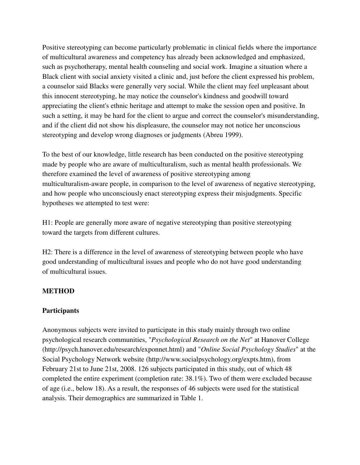Positive stereotyping can become particularly problematic in clinical fields where the importance of multicultural awareness and competency has already been acknowledged and emphasized, such as psychotherapy, mental health counseling and social work. Imagine a situation where a Black client with social anxiety visited a clinic and, just before the client expressed his problem, a counselor said Blacks were generally very social. While the client may feel unpleasant about this innocent stereotyping, he may notice the counselor's kindness and goodwill toward appreciating the client's ethnic heritage and attempt to make the session open and positive. In such a setting, it may be hard for the client to argue and correct the counselor's misunderstanding, and if the client did not show his displeasure, the counselor may not notice her unconscious stereotyping and develop wrong diagnoses or judgments (Abreu 1999).

To the best of our knowledge, little research has been conducted on the positive stereotyping made by people who are aware of multiculturalism, such as mental health professionals. We therefore examined the level of awareness of positive stereotyping among multiculturalism-aware people, in comparison to the level of awareness of negative stereotyping, and how people who unconsciously enact stereotyping express their misjudgments. Specific hypotheses we attempted to test were:

H1: People are generally more aware of negative stereotyping than positive stereotyping toward the targets from different cultures.

H2: There is a difference in the level of awareness of stereotyping between people who have good understanding of multicultural issues and people who do not have good understanding of multicultural issues.

#### **METHOD**

#### **Participants**

Anonymous subjects were invited to participate in this study mainly through two online psychological research communities, "*Psychological Research on the Net*" at Hanover College (http://psych.hanover.edu/research/exponnet.html) and "*Online Social Psychology Studies*" at the Social Psychology Network website (http://www.socialpsychology.org/expts.htm), from February 21st to June 21st, 2008. 126 subjects participated in this study, out of which 48 completed the entire experiment (completion rate: 38.1%). Two of them were excluded because of age (i.e., below 18). As a result, the responses of 46 subjects were used for the statistical analysis. Their demographics are summarized in Table 1.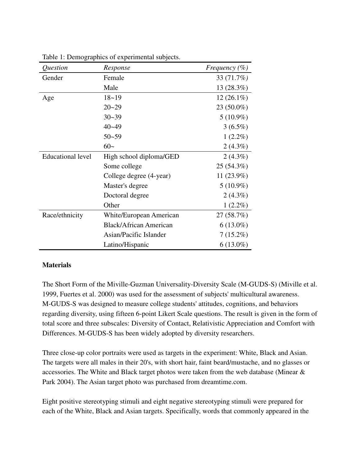| Question                 | Response                      | Frequency $(\% )$ |
|--------------------------|-------------------------------|-------------------|
| Gender                   | Female                        | 33 (71.7%)        |
|                          | Male                          | 13 (28.3%)        |
| Age                      | $18 - 19$                     | $12(26.1\%)$      |
|                          | $20 - 29$                     | 23 (50.0%)        |
|                          | $30 - 39$                     | $5(10.9\%)$       |
|                          | $40 - 49$                     | $3(6.5\%)$        |
|                          | $50 - 59$                     | $1(2.2\%)$        |
|                          | $60-$                         | $2(4.3\%)$        |
| <b>Educational level</b> | High school diploma/GED       | $2(4.3\%)$        |
|                          | Some college                  | 25 (54.3%)        |
|                          | College degree (4-year)       | 11 (23.9%)        |
|                          | Master's degree               | $5(10.9\%)$       |
|                          | Doctoral degree               | $2(4.3\%)$        |
|                          | Other                         | $1(2.2\%)$        |
| Race/ethnicity           | White/European American       | 27 (58.7%)        |
|                          | <b>Black/African American</b> | $6(13.0\%)$       |
|                          | Asian/Pacific Islander        | $7(15.2\%)$       |
|                          | Latino/Hispanic               | $6(13.0\%)$       |

Table 1: Demographics of experimental subjects.

#### **Materials**

The Short Form of the Miville-Guzman Universality-Diversity Scale (M-GUDS-S) (Miville et al. 1999, Fuertes et al. 2000) was used for the assessment of subjects' multicultural awareness. M-GUDS-S was designed to measure college students' attitudes, cognitions, and behaviors regarding diversity, using fifteen 6-point Likert Scale questions. The result is given in the form of total score and three subscales: Diversity of Contact, Relativistic Appreciation and Comfort with Differences. M-GUDS-S has been widely adopted by diversity researchers.

Three close-up color portraits were used as targets in the experiment: White, Black and Asian. The targets were all males in their 20's, with short hair, faint beard/mustache, and no glasses or accessories. The White and Black target photos were taken from the web database (Minear & Park 2004). The Asian target photo was purchased from dreamtime.com.

Eight positive stereotyping stimuli and eight negative stereotyping stimuli were prepared for each of the White, Black and Asian targets. Specifically, words that commonly appeared in the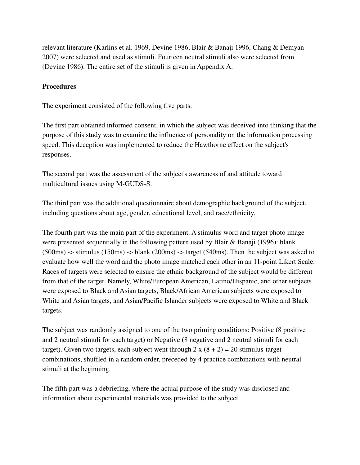relevant literature (Karlins et al. 1969, Devine 1986, Blair & Banaji 1996, Chang & Demyan 2007) were selected and used as stimuli. Fourteen neutral stimuli also were selected from (Devine 1986). The entire set of the stimuli is given in Appendix A.

#### **Procedures**

The experiment consisted of the following five parts.

The first part obtained informed consent, in which the subject was deceived into thinking that the purpose of this study was to examine the influence of personality on the information processing speed. This deception was implemented to reduce the Hawthorne effect on the subject's responses.

The second part was the assessment of the subject's awareness of and attitude toward multicultural issues using M-GUDS-S.

The third part was the additional questionnaire about demographic background of the subject, including questions about age, gender, educational level, and race/ethnicity.

The fourth part was the main part of the experiment. A stimulus word and target photo image were presented sequentially in the following pattern used by Blair & Banaji (1996): blank (500ms) -> stimulus (150ms) -> blank (200ms) -> target (540ms). Then the subject was asked to evaluate how well the word and the photo image matched each other in an 11-point Likert Scale. Races of targets were selected to ensure the ethnic background of the subject would be different from that of the target. Namely, White/European American, Latino/Hispanic, and other subjects were exposed to Black and Asian targets, Black/African American subjects were exposed to White and Asian targets, and Asian/Pacific Islander subjects were exposed to White and Black targets.

The subject was randomly assigned to one of the two priming conditions: Positive (8 positive and 2 neutral stimuli for each target) or Negative (8 negative and 2 neutral stimuli for each target). Given two targets, each subject went through  $2 \times (8 + 2) = 20$  stimulus-target combinations, shuffled in a random order, preceded by 4 practice combinations with neutral stimuli at the beginning.

The fifth part was a debriefing, where the actual purpose of the study was disclosed and information about experimental materials was provided to the subject.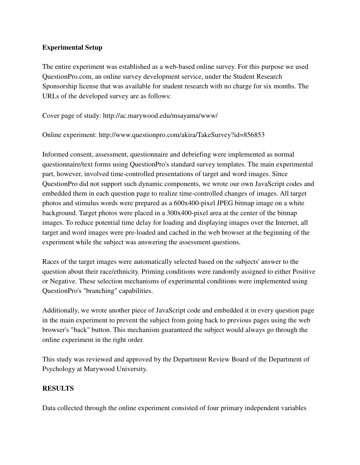#### **Experimental Setup**

The entire experiment was established as a web-based online survey. For this purpose we used QuestionPro.com, an online survey development service, under the Student Research Sponsorship license that was available for student research with no charge for six months. The URLs of the developed survey are as follows:

Cover page of study: http://ac.marywood.edu/msayama/www/

Online experiment: http://www.questionpro.com/akira/TakeSurvey?id=856853

Informed consent, assessment, questionnaire and debriefing were implemented as normal questionnaire/text forms using QuestionPro's standard survey templates. The main experimental part, however, involved time-controlled presentations of target and word images. Since QuestionPro did not support such dynamic components, we wrote our own JavaScript codes and embedded them in each question page to realize time-controlled changes of images. All target photos and stimulus words were prepared as a 600x400-pixel JPEG bitmap image on a white background. Target photos were placed in a 300x400-pixel area at the center of the bitmap images. To reduce potential time delay for loading and displaying images over the Internet, all target and word images were pre-loaded and cached in the web browser at the beginning of the experiment while the subject was answering the assessment questions.

Races of the target images were automatically selected based on the subjects' answer to the question about their race/ethnicity. Priming conditions were randomly assigned to either Positive or Negative. These selection mechanisms of experimental conditions were implemented using QuestionPro's "branching" capabilities.

Additionally, we wrote another piece of JavaScript code and embedded it in every question page in the main experiment to prevent the subject from going back to previous pages using the web browser's "back" button. This mechanism guaranteed the subject would always go through the online experiment in the right order.

This study was reviewed and approved by the Department Review Board of the Department of Psychology at Marywood University.

#### **RESULTS**

Data collected through the online experiment consisted of four primary independent variables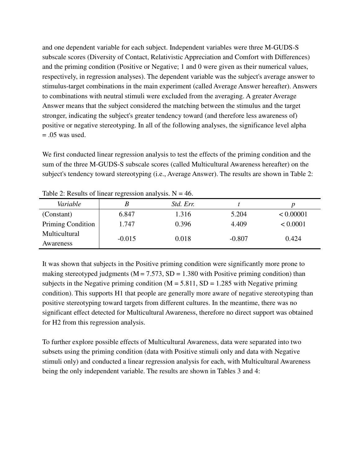and one dependent variable for each subject. Independent variables were three M-GUDS-S subscale scores (Diversity of Contact, Relativistic Appreciation and Comfort with Differences) and the priming condition (Positive or Negative; 1 and 0 were given as their numerical values, respectively, in regression analyses). The dependent variable was the subject's average answer to stimulus-target combinations in the main experiment (called Average Answer hereafter). Answers to combinations with neutral stimuli were excluded from the averaging. A greater Average Answer means that the subject considered the matching between the stimulus and the target stronger, indicating the subject's greater tendency toward (and therefore less awareness of) positive or negative stereotyping. In all of the following analyses, the significance level alpha  $= .05$  was used.

We first conducted linear regression analysis to test the effects of the priming condition and the sum of the three M-GUDS-S subscale scores (called Multicultural Awareness hereafter) on the subject's tendency toward stereotyping (i.e., Average Answer). The results are shown in Table 2:

| Variable          |          | Std. Err. |          |           |
|-------------------|----------|-----------|----------|-----------|
| (Constant)        | 6.847    | 1.316     | 5.204    | < 0.00001 |
| Priming Condition | 1.747    | 0.396     | 4.409    | < 0.0001  |
| Multicultural     | $-0.015$ | 0.018     | $-0.807$ | 0.424     |
| Awareness         |          |           |          |           |

Table 2: Results of linear regression analysis.  $N = 46$ .

It was shown that subjects in the Positive priming condition were significantly more prone to making stereotyped judgments ( $M = 7.573$ ,  $SD = 1.380$  with Positive priming condition) than subjects in the Negative priming condition ( $M = 5.811$ , SD = 1.285 with Negative priming condition). This supports H1 that people are generally more aware of negative stereotyping than positive stereotyping toward targets from different cultures. In the meantime, there was no significant effect detected for Multicultural Awareness, therefore no direct support was obtained for H2 from this regression analysis.

To further explore possible effects of Multicultural Awareness, data were separated into two subsets using the priming condition (data with Positive stimuli only and data with Negative stimuli only) and conducted a linear regression analysis for each, with Multicultural Awareness being the only independent variable. The results are shown in Tables 3 and 4: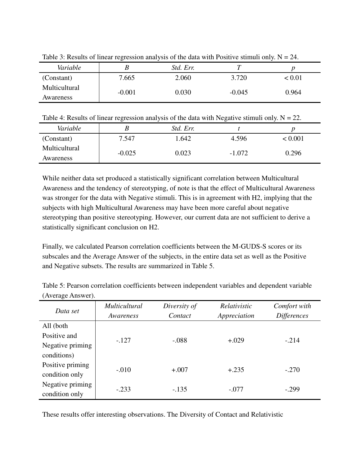|               | ت        |           |          |        |
|---------------|----------|-----------|----------|--------|
| Variable      |          | Std. Err. |          |        |
| (Constant)    | 7.665    | 2.060     | 3.720    | < 0.01 |
| Multicultural | $-0.001$ | 0.030     | $-0.045$ | 0.964  |
| Awareness     |          |           |          |        |

Table 3: Results of linear regression analysis of the data with Positive stimuli only.  $N = 24$ .

Table 4: Results of linear regression analysis of the data with Negative stimuli only.  $N = 22$ .

| Variable      |          | Std. Err. |          |         |
|---------------|----------|-----------|----------|---------|
| (Constant)    | 7.547    | .642      | 4.596    | < 0.001 |
| Multicultural | $-0.025$ | 0.023     | $-1.072$ | 0.296   |
| Awareness     |          |           |          |         |

While neither data set produced a statistically significant correlation between Multicultural Awareness and the tendency of stereotyping, of note is that the effect of Multicultural Awareness was stronger for the data with Negative stimuli. This is in agreement with H2, implying that the subjects with high Multicultural Awareness may have been more careful about negative stereotyping than positive stereotyping. However, our current data are not sufficient to derive a statistically significant conclusion on H2.

Finally, we calculated Pearson correlation coefficients between the M-GUDS-S scores or its subscales and the Average Answer of the subjects, in the entire data set as well as the Positive and Negative subsets. The results are summarized in Table 5.

| Data set         | <i>Multicultural</i><br>Awareness | Diversity of<br>Contact | Relativistic<br>Appreciation | Comfort with<br><b>Differences</b> |
|------------------|-----------------------------------|-------------------------|------------------------------|------------------------------------|
| All (both        |                                   |                         |                              |                                    |
| Positive and     |                                   |                         | $+.029$                      |                                    |
| Negative priming | $-.127$                           | $-.088$                 |                              | $-.214$                            |
| conditions)      |                                   |                         |                              |                                    |
| Positive priming | $-.010$                           | $+.007$                 | $+.235$                      | $-.270$                            |
| condition only   |                                   |                         |                              |                                    |
| Negative priming | $-.233$                           | $-.135$                 | $-.077$                      | $-.299$                            |
| condition only   |                                   |                         |                              |                                    |

Table 5: Pearson correlation coefficients between independent variables and dependent variable (Average Answer).

These results offer interesting observations. The Diversity of Contact and Relativistic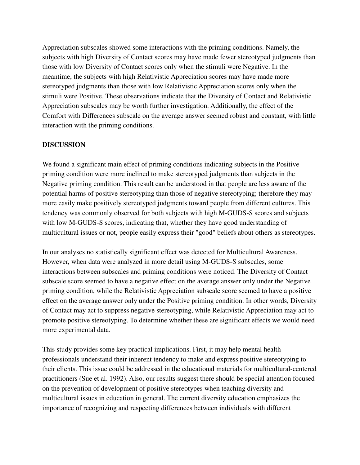Appreciation subscales showed some interactions with the priming conditions. Namely, the subjects with high Diversity of Contact scores may have made fewer stereotyped judgments than those with low Diversity of Contact scores only when the stimuli were Negative. In the meantime, the subjects with high Relativistic Appreciation scores may have made more stereotyped judgments than those with low Relativistic Appreciation scores only when the stimuli were Positive. These observations indicate that the Diversity of Contact and Relativistic Appreciation subscales may be worth further investigation. Additionally, the effect of the Comfort with Differences subscale on the average answer seemed robust and constant, with little interaction with the priming conditions.

#### **DISCUSSION**

We found a significant main effect of priming conditions indicating subjects in the Positive priming condition were more inclined to make stereotyped judgments than subjects in the Negative priming condition. This result can be understood in that people are less aware of the potential harms of positive stereotyping than those of negative stereotyping; therefore they may more easily make positively stereotyped judgments toward people from different cultures. This tendency was commonly observed for both subjects with high M-GUDS-S scores and subjects with low M-GUDS-S scores, indicating that, whether they have good understanding of multicultural issues or not, people easily express their "good" beliefs about others as stereotypes.

In our analyses no statistically significant effect was detected for Multicultural Awareness. However, when data were analyzed in more detail using M-GUDS-S subscales, some interactions between subscales and priming conditions were noticed. The Diversity of Contact subscale score seemed to have a negative effect on the average answer only under the Negative priming condition, while the Relativistic Appreciation subscale score seemed to have a positive effect on the average answer only under the Positive priming condition. In other words, Diversity of Contact may act to suppress negative stereotyping, while Relativistic Appreciation may act to promote positive stereotyping. To determine whether these are significant effects we would need more experimental data.

This study provides some key practical implications. First, it may help mental health professionals understand their inherent tendency to make and express positive stereotyping to their clients. This issue could be addressed in the educational materials for multicultural-centered practitioners (Sue et al. 1992). Also, our results suggest there should be special attention focused on the prevention of development of positive stereotypes when teaching diversity and multicultural issues in education in general. The current diversity education emphasizes the importance of recognizing and respecting differences between individuals with different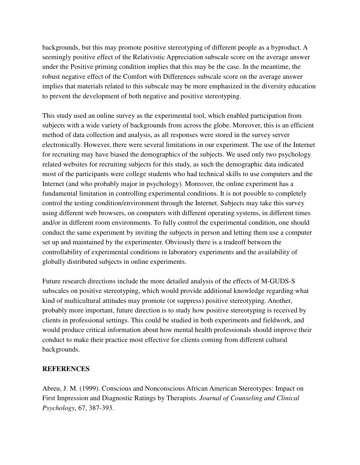backgrounds, but this may promote positive stereotyping of different people as a byproduct. A seemingly positive effect of the Relativistic Appreciation subscale score on the average answer under the Positive priming condition implies that this may be the case. In the meantime, the robust negative effect of the Comfort with Differences subscale score on the average answer implies that materials related to this subscale may be more emphasized in the diversity education to prevent the development of both negative and positive stereotyping.

This study used an online survey as the experimental tool, which enabled participation from subjects with a wide variety of backgrounds from across the globe. Moreover, this is an efficient method of data collection and analysis, as all responses were stored in the survey server electronically. However, there were several limitations in our experiment. The use of the Internet for recruiting may have biased the demographics of the subjects. We used only two psychology related websites for recruiting subjects for this study, as such the demographic data indicated most of the participants were college students who had technical skills to use computers and the Internet (and who probably major in psychology). Moreover, the online experiment has a fundamental limitation in controlling experimental conditions. It is not possible to completely control the testing condition/environment through the Internet. Subjects may take this survey using different web browsers, on computers with different operating systems, in different times and/or in different room environments. To fully control the experimental condition, one should conduct the same experiment by inviting the subjects in person and letting them use a computer set up and maintained by the experimenter. Obviously there is a tradeoff between the controllability of experimental conditions in laboratory experiments and the availability of globally distributed subjects in online experiments.

Future research directions include the more detailed analysis of the effects of M-GUDS-S subscales on positive stereotyping, which would provide additional knowledge regarding what kind of multicultural attitudes may promote (or suppress) positive stereotyping. Another, probably more important, future direction is to study how positive stereotyping is received by clients in professional settings. This could be studied in both experiments and fieldwork, and would produce critical information about how mental health professionals should improve their conduct to make their practice most effective for clients coming from different cultural backgrounds.

#### **REFERENCES**

Abreu, J. M. (1999). Conscious and Nonconscious African American Stereotypes: Impact on First Impression and Diagnostic Ratings by Therapists. *Journal of Counseling and Clinical Psychology*, 67, 387-393.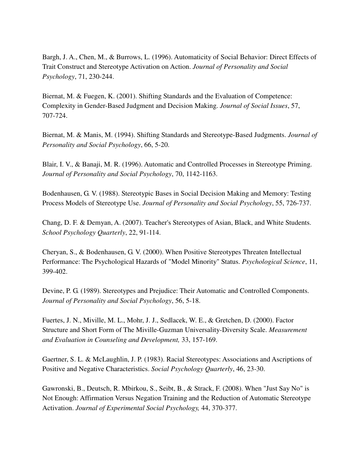Bargh, J. A., Chen, M., & Burrows, L. (1996). Automaticity of Social Behavior: Direct Effects of Trait Construct and Stereotype Activation on Action. *Journal of Personality and Social Psychology*, 71, 230-244.

Biernat, M. & Fuegen, K. (2001). Shifting Standards and the Evaluation of Competence: Complexity in Gender-Based Judgment and Decision Making. *Journal of Social Issues*, 57, 707-724.

Biernat, M. & Manis, M. (1994). Shifting Standards and Stereotype-Based Judgments. *Journal of Personality and Social Psychology*, 66, 5-20.

Blair, I. V., & Banaji, M. R. (1996). Automatic and Controlled Processes in Stereotype Priming. *Journal of Personality and Social Psychology*, 70, 1142-1163.

Bodenhausen, G. V. (1988). Stereotypic Bases in Social Decision Making and Memory: Testing Process Models of Stereotype Use. *Journal of Personality and Social Psychology*, 55, 726-737.

Chang, D. F. & Demyan, A. (2007). Teacher's Stereotypes of Asian, Black, and White Students. *School Psychology Quarterly*, 22, 91-114.

Cheryan, S., & Bodenhausen, G. V. (2000). When Positive Stereotypes Threaten Intellectual Performance: The Psychological Hazards of "Model Minority" Status. *Psychological Science*, 11, 399-402.

Devine, P. G. (1989). Stereotypes and Prejudice: Their Automatic and Controlled Components. *Journal of Personality and Social Psychology*, 56, 5-18.

Fuertes, J. N., Miville, M. L., Mohr, J. J., Sedlacek, W. E., & Gretchen, D. (2000). Factor Structure and Short Form of The Miville-Guzman Universality-Diversity Scale. *Measurement and Evaluation in Counseling and Development,* 33, 157-169.

Gaertner, S. L. & McLaughlin, J. P. (1983). Racial Stereotypes: Associations and Ascriptions of Positive and Negative Characteristics. *Social Psychology Quarterly*, 46, 23-30.

Gawronski, B., Deutsch, R. Mbirkou, S., Seibt, B., & Strack, F. (2008). When "Just Say No" is Not Enough: Affirmation Versus Negation Training and the Reduction of Automatic Stereotype Activation. *Journal of Experimental Social Psychology,* 44, 370-377.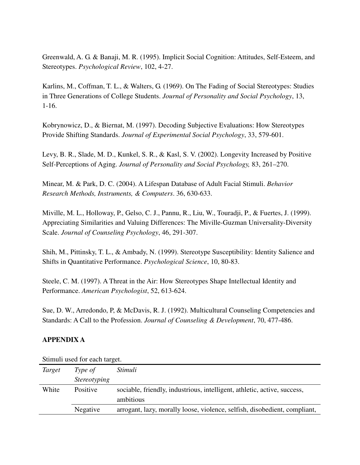Greenwald, A. G. & Banaji, M. R. (1995). Implicit Social Cognition: Attitudes, Self-Esteem, and Stereotypes. *Psychological Review*, 102, 4-27.

Karlins, M., Coffman, T. L., & Walters, G. (1969). On The Fading of Social Stereotypes: Studies in Three Generations of College Students. *Journal of Personality and Social Psychology*, 13, 1-16.

Kobrynowicz, D., & Biernat, M. (1997). Decoding Subjective Evaluations: How Stereotypes Provide Shifting Standards. *Journal of Experimental Social Psychology*, 33, 579-601.

Levy, B. R., Slade, M. D., Kunkel, S. R., & Kasl, S. V. (2002). Longevity Increased by Positive Self-Perceptions of Aging. *Journal of Personality and Social Psychology,* 83, 261–270.

Minear, M. & Park, D. C. (2004). A Lifespan Database of Adult Facial Stimuli. *Behavior Research Methods, Instruments, & Computers*. 36, 630-633.

Miville, M. L., Holloway, P., Gelso, C. J., Pannu, R., Liu, W., Touradji, P., & Fuertes, J. (1999). Appreciating Similarities and Valuing Differences: The Miville-Guzman Universality-Diversity Scale. *Journal of Counseling Psychology*, 46, 291-307.

Shih, M., Pittinsky, T. L., & Ambady, N. (1999). Stereotype Susceptibility: Identity Salience and Shifts in Quantitative Performance. *Psychological Science*, 10, 80-83.

Steele, C. M. (1997). A Threat in the Air: How Stereotypes Shape Intellectual Identity and Performance. *American Psychologist*, 52, 613-624.

Sue, D. W., Arredondo, P, & McDavis, R. J. (1992). Multicultural Counseling Competencies and Standards: A Call to the Profession. *Journal of Counseling & Development*, 70, 477-486.

#### **APPENDIX A**

| Stiffull used for each target. |                     |                                                                           |  |
|--------------------------------|---------------------|---------------------------------------------------------------------------|--|
| Target                         | Type of             | Stimuli                                                                   |  |
|                                | <i>Stereotyping</i> |                                                                           |  |
| White                          | Positive            | sociable, friendly, industrious, intelligent, athletic, active, success,  |  |
|                                |                     | ambitious                                                                 |  |
|                                | Negative            | arrogant, lazy, morally loose, violence, selfish, disobedient, compliant, |  |

Stimuli used for each target.